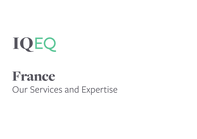IQEQ

# France Our Services and Expertise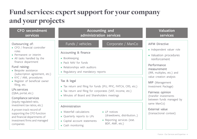## Fund services: expert support for your company and your projects

| <b>CFO</b> secondment<br><b>services</b>                                                                                                                                                                                                                                                                                                                                                | <b>Accounting and</b><br>administration services                                                                                                                                                                                                                                                                                                                              | <b>Valuation</b><br>services                                                                                                                                                                                                                                                                            |
|-----------------------------------------------------------------------------------------------------------------------------------------------------------------------------------------------------------------------------------------------------------------------------------------------------------------------------------------------------------------------------------------|-------------------------------------------------------------------------------------------------------------------------------------------------------------------------------------------------------------------------------------------------------------------------------------------------------------------------------------------------------------------------------|---------------------------------------------------------------------------------------------------------------------------------------------------------------------------------------------------------------------------------------------------------------------------------------------------------|
| Outsourcing of:<br>• CFO / financial controller<br>roles<br>• Permanent or interim<br>• All tasks handled by the<br>finance department<br>Fund raising:<br>• Bespoke assistance<br>(subscription agreement, etc.)<br>• KYC / AML procedures<br>• Register of beneficial owner<br>filing, etc.<br>LPs services<br>(Q&A, portal, etc.)<br>Compliance services<br>(equity regulated ratio, | Funds / vehicles<br>Corporate / ManCo<br>Accounting & finance<br>• Bookkeeping<br>• Pack NAV for funds<br>• Relationships with auditors<br>• Regulatory and mandatory reports<br>Tax & legal<br>· Tax return and filing for funds (IFU, PFIC, FATCA, CRS, etc.)<br>• Tax return and filing for corporates (VAT, income, etc.)<br>• Minutes of Board and Shareholders meetings | <b>AIFM Directive</b><br>· Independent valuer role<br>• Valuation procedures<br>reinforcement<br>Performance<br>measurement<br>(IRR, multiples, etc.) and<br>value creation analysis<br>MIP (Management<br>Investment Package)<br>Fairness opinion<br>(transfer investments<br>between funds managed by |
| investment tax ratios, etc.)<br>A proven track record of<br>supporting the CFO function<br>and financial departments of<br>investment firms and managed<br>companies                                                                                                                                                                                                                    | Administration<br>• Waterfall calculations<br>• LP notices<br>(drawdowns, distribution)<br>• Quarterly reports to LPs<br>• Reporting services (stat.<br>• Capital account statements<br>BDF, AMF, etc.)<br>• Cash monitoring                                                                                                                                                  | same ManCo)<br>External value<br>(transactional context)                                                                                                                                                                                                                                                |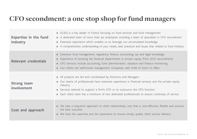### CFO secondment: a one stop shop for fund managers

| <b>Expertise in the fund</b><br>Industry | • IQ-EQ is a key leader in France focusing on fund services and fund management<br>• A dedicated team of more than 90 employees including a team of specialists in CFO secondment<br>• Extensive experience which enables us to leverage our accumulated knowledge<br>• A comprehensive understanding of your needs, best practices and issues that related to fund industry |
|------------------------------------------|------------------------------------------------------------------------------------------------------------------------------------------------------------------------------------------------------------------------------------------------------------------------------------------------------------------------------------------------------------------------------|
| Relevant credentials                     | Extensive fund management, regulatory, finance, accounting, tax and legal knowledge<br>Experience of assisting the financial departments in private equity firms (CFO secondment)<br>• CFO services include accounting, fund administration, valuation and finance monitoring<br>• Our clients are well-known management companies with AUM of $E$ 20m to $E$ 8bn            |
| Strong team<br>involvement               | • All projects are led and coordinated by Directors and Managers<br>• Our teams of professionals have extensive experience in financial services and the private equity<br>industry<br>• Services tailored to support a firm's CFO or to outsource the CFO function<br>• Each client team has a minimum of two dedicated professionals to ensure continuity of service       |
| Cost and approach                        | We take a long-term approach to client relationships, one that is cost-effective, flexible and ensures<br>the best outcome<br>• We have the expertise and the experience to ensure timely, quality client service delivery                                                                                                                                                   |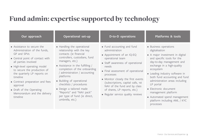### Fund admin: expertise supported by technology

| Our approach                                                                                                                                                                                                                                                                                                                                                         | <b>Operational set-up</b>                                                                                                                                                                                                                                                                                                                                                                                                  | D-to-D operations                                                                                                                                                                                                                                                                                                                                                             | <b>Platforms &amp; tools</b>                                                                                                                                                                                                                                                                                                                                                                                                    |
|----------------------------------------------------------------------------------------------------------------------------------------------------------------------------------------------------------------------------------------------------------------------------------------------------------------------------------------------------------------------|----------------------------------------------------------------------------------------------------------------------------------------------------------------------------------------------------------------------------------------------------------------------------------------------------------------------------------------------------------------------------------------------------------------------------|-------------------------------------------------------------------------------------------------------------------------------------------------------------------------------------------------------------------------------------------------------------------------------------------------------------------------------------------------------------------------------|---------------------------------------------------------------------------------------------------------------------------------------------------------------------------------------------------------------------------------------------------------------------------------------------------------------------------------------------------------------------------------------------------------------------------------|
| • Assistance to secure the<br>Administration of the funds,<br>GP and SPVs<br>• Central point of contact with<br>all parties involved<br>• High-level operating model<br>to secure the production of<br>the quarterly LP reports on<br>timeline<br>• Contract preparation and fees<br>approval<br>• Draft of the Operating<br>Memorandum and the delivery<br>timeline | • Handling the operational<br>relationship with the key<br>contacts (ie financial<br>controllers, custodians, fund<br>managers, etc.)<br>• Assistance in the fulfilling /<br>completion of the onboarding<br>/ administration / accounting<br>platforms<br>· Building of operational<br>checklists / procedures<br>• Design a tailored made<br>"Reports" and "NAV pack"<br>per type of fund (ie direct,<br>umbrella, etc.) | • Fund accounting and fund<br>administration<br>• Appointment of an IQ-EQ<br>operational team<br>• Staff awareness of operational<br>needs<br>• Final assessment of operational<br>processes<br>• Monitor closely the first events<br>(subscriptions, capital calls, 1st<br>NAV of the fund and by class<br>of shares, LP reports, etc.)<br>• Regular service quality reviews | • Business operations<br>digitalisation<br>• A major investment in digital<br>and specific tools for the<br>day-to-day management and<br>exchange in a high-quality<br>ecosystem<br>• Leading industry software in<br>both fund accounting and fund<br>administration areas including<br>LP portal<br>• Electronic document<br>management platform<br>• Automated spend management<br>platform including AML / KYC<br>processes |
|                                                                                                                                                                                                                                                                                                                                                                      |                                                                                                                                                                                                                                                                                                                                                                                                                            |                                                                                                                                                                                                                                                                                                                                                                               |                                                                                                                                                                                                                                                                                                                                                                                                                                 |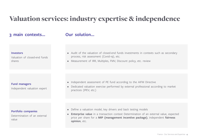### Valuation services: industry expertise & independence

### **3 main contexts... Our solution...**

#### **Investors**

Valuation of closed-end funds shares

#### • Audit of the valuation of closed-end funds investments in contexts such as secondary process, risk assessment (Covid-19), etc.

• Measurement of IRR, Multiples, FMV, Discount policy, etc. review

#### **Fund managers**

Independent valuation expert

#### **Portfolio companies**

Determination of an external value

- Independent assessment of PE fund according to the AIFM Directive
- Dedicated valuation exercise performed by external professional according to market practices (IPEV, etc.)

- Define a valuation model, key drivers and back testing models
- **• Enterprise value** in a transaction context Determination of an external value, expected price per share for a **MIP (management incentive package)**, independent **fairness opinion**, etc.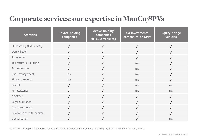### Corporate services: our expertise in ManCo/SPVs

| <b>Activities</b>           | <b>Private holding</b><br>companies | <b>Active holding</b><br>companies<br>(ie LBO vehicles) | Co-investments<br>companies or SPVs | <b>Equity bridge</b><br>vehicles |
|-----------------------------|-------------------------------------|---------------------------------------------------------|-------------------------------------|----------------------------------|
| Onboarding (KYC / AML)      |                                     |                                                         |                                     |                                  |
| Domiciliation               |                                     |                                                         |                                     |                                  |
| Accounting                  |                                     |                                                         |                                     |                                  |
| Tax return & tax filing     |                                     |                                                         | n.a.                                |                                  |
| Tax assistance              |                                     |                                                         | n.a.                                |                                  |
| Cash management             | n.a.                                |                                                         | n.a.                                |                                  |
| Financial reports           | n.a.                                |                                                         | n.a.                                |                                  |
| Payroll                     |                                     |                                                         | n.a.                                | n.a.                             |
| HR assistance               |                                     |                                                         | n.a.                                | n.a.                             |
| COSEC(1)                    |                                     |                                                         |                                     |                                  |
| Legal assistance            |                                     |                                                         |                                     |                                  |
| Administration(2)           |                                     |                                                         |                                     |                                  |
| Relationships with auditors |                                     |                                                         |                                     |                                  |
| Consolidation               |                                     |                                                         |                                     | n.a.                             |

(1) COSEC : Company Secretarial Services (2) Such as invoices management, archiving legal documentation, FATCA / CRS….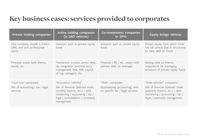### Key business cases: services provided to corporates

| Private holding companies                                           | Active holding companies<br>(ie LBO vehicles)                                                                                                                                    | Co-investments companies<br>or SPVs                                                    | <b>Equity bridge vehicles</b>                                                                                                                                      |
|---------------------------------------------------------------------|----------------------------------------------------------------------------------------------------------------------------------------------------------------------------------|----------------------------------------------------------------------------------------|--------------------------------------------------------------------------------------------------------------------------------------------------------------------|
| One company, usually a French<br>SARL and one professional<br>owner | Investors such as private equity<br>funds                                                                                                                                        | Investors such as private equity<br>funds                                              | Private equity fund which holds<br>the EB vehicle that is structured<br>to raise debt to invest                                                                    |
| Financial assets held: shares,<br>bonds, etc.                       | Transaction context, senior debt,<br>tax integration (income, etc.),<br>management fees, MIP, payroll<br>of top managers, etc.                                                   | Financial / RE / etc. assets held<br>without debt (ie leverage)                        | Raising debt to finance<br>acquisitions (ie leveraging<br>structure of private equity fund)                                                                        |
| "Cash box" companies<br>Mix of accounting / tax / legal<br>services | "Acquisition vehicles"<br>Mix of financial (tailored made<br>monthly reports, etc.) / debt<br>monitoring / accounting / tax /<br>legal / consolidation / covenants<br>management | "Shell" companies<br>Bookkeeping (accounting) with<br>no specific tax / legal services | "Debt vehicles" companies<br>Mix of financial (tailored made<br>quarterly reports, etc.) / debt<br>monitoring / accounting / tax /<br>legal / covenants management |